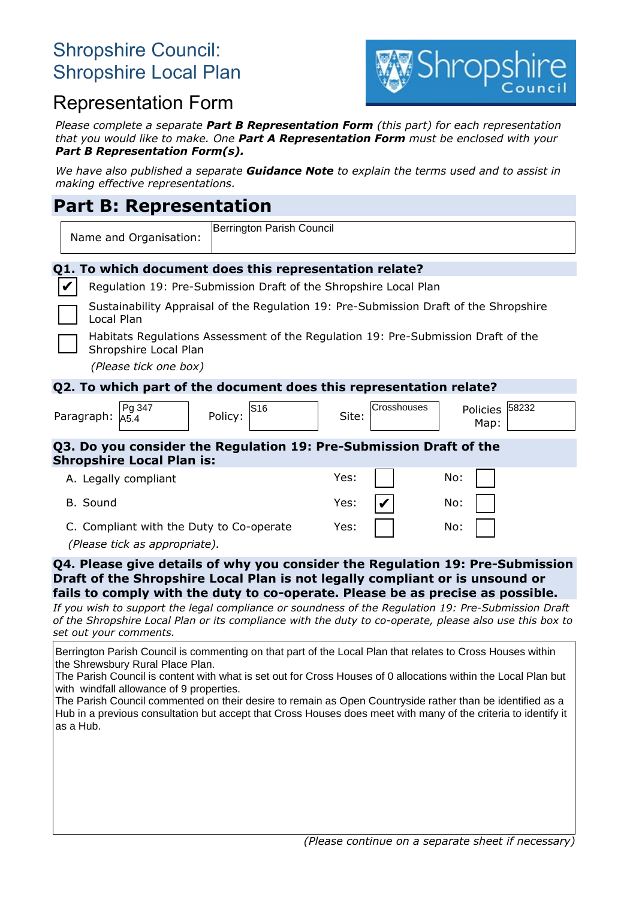# Shropshire Council: Shropshire Local Plan



# Representation Form

*Please complete a separate Part B Representation Form (this part) for each representation that you would like to make. One Part A Representation Form must be enclosed with your Part B Representation Form(s).*

*We have also published a separate Guidance Note to explain the terms used and to assist in making effective representations.*

## **Part B: Representation**

| <b>Hard D. Representation</b>                                                                              |                                                                  |  |  |  |  |  |
|------------------------------------------------------------------------------------------------------------|------------------------------------------------------------------|--|--|--|--|--|
| Berrington Parish Council<br>Name and Organisation:                                                        |                                                                  |  |  |  |  |  |
| Q1. To which document does this representation relate?                                                     |                                                                  |  |  |  |  |  |
| V                                                                                                          | Regulation 19: Pre-Submission Draft of the Shropshire Local Plan |  |  |  |  |  |
| Sustainability Appraisal of the Regulation 19: Pre-Submission Draft of the Shropshire<br>Local Plan        |                                                                  |  |  |  |  |  |
| Habitats Regulations Assessment of the Regulation 19: Pre-Submission Draft of the<br>Shropshire Local Plan |                                                                  |  |  |  |  |  |
| (Please tick one box)                                                                                      |                                                                  |  |  |  |  |  |
| Q2. To which part of the document does this representation relate?                                         |                                                                  |  |  |  |  |  |
| Pg 347<br>S16<br>Policy:<br>Paragraph:<br>A5.4                                                             | 58232<br>Crosshouses<br><b>Policies</b><br>Site:<br>Map:         |  |  |  |  |  |
| Q3. Do you consider the Regulation 19: Pre-Submission Draft of the<br><b>Shropshire Local Plan is:</b>     |                                                                  |  |  |  |  |  |
| A. Legally compliant                                                                                       | No:<br>Yes:                                                      |  |  |  |  |  |
| B. Sound                                                                                                   | Yes:<br>No:                                                      |  |  |  |  |  |
| C. Compliant with the Duty to Co-operate<br>(Please tick as appropriate).                                  | Yes:<br>No:                                                      |  |  |  |  |  |
| 04. Please give details of why you consider the Pequiption 10: Pre-Submission                              |                                                                  |  |  |  |  |  |

**ou consider the R Draft of the Shropshire Local Plan is not legally compliant or is unsound or fails to comply with the duty to co-operate. Please be as precise as possible.**

*If you wish to support the legal compliance or soundness of the Regulation 19: Pre-Submission Draft of the Shropshire Local Plan or its compliance with the duty to co-operate, please also use this box to set out your comments.*

Berrington Parish Council is commenting on that part of the Local Plan that relates to Cross Houses within the Shrewsbury Rural Place Plan.

The Parish Council is content with what is set out for Cross Houses of 0 allocations within the Local Plan but with windfall allowance of 9 properties.

The Parish Council commented on their desire to remain as Open Countryside rather than be identified as a Hub in a previous consultation but accept that Cross Houses does meet with many of the criteria to identify it as a Hub.